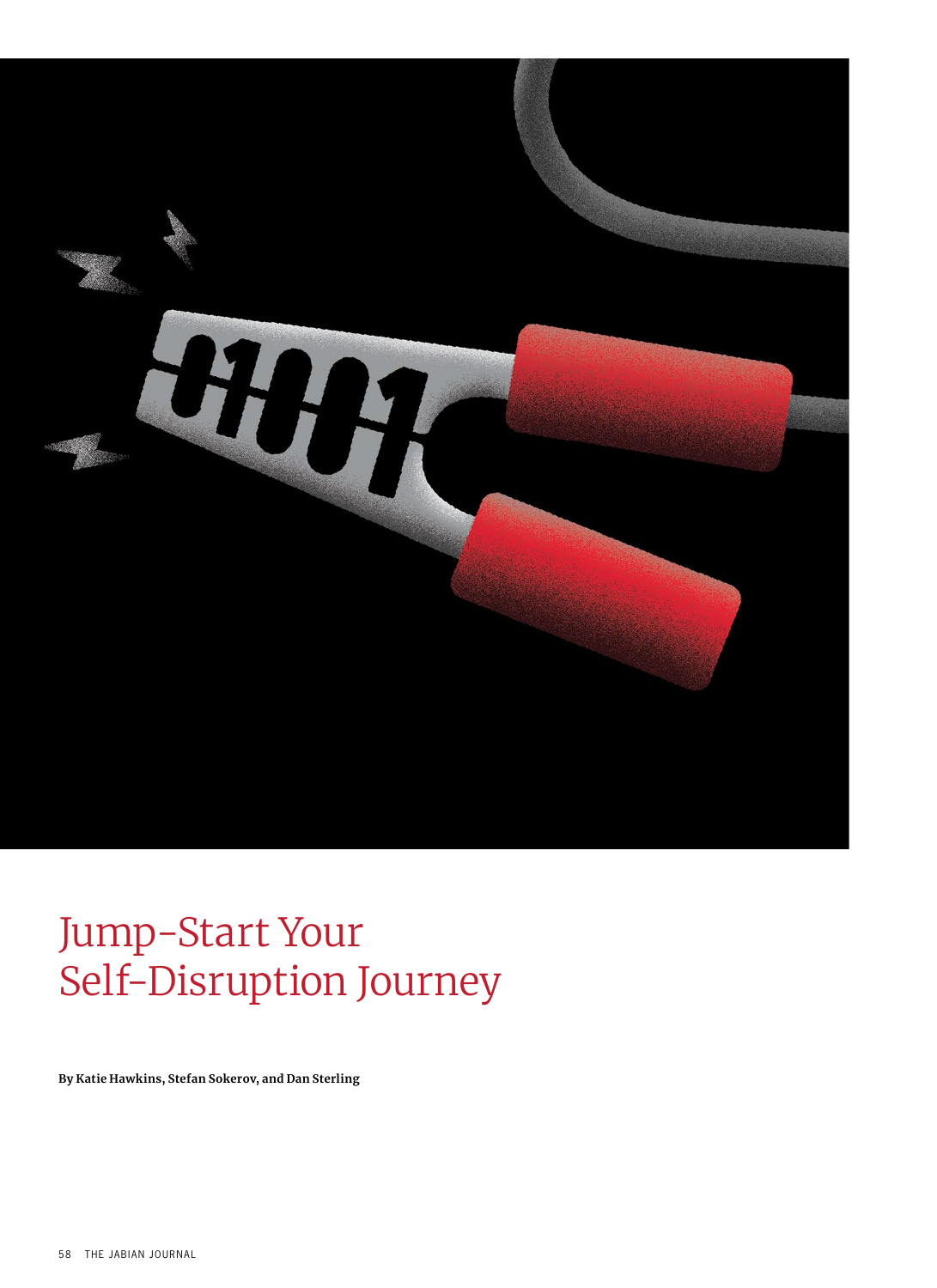

# Jump-Start Your Self-Disruption Journey

**By Katie Hawkins, Stefan Sokerov, and Dan Sterling**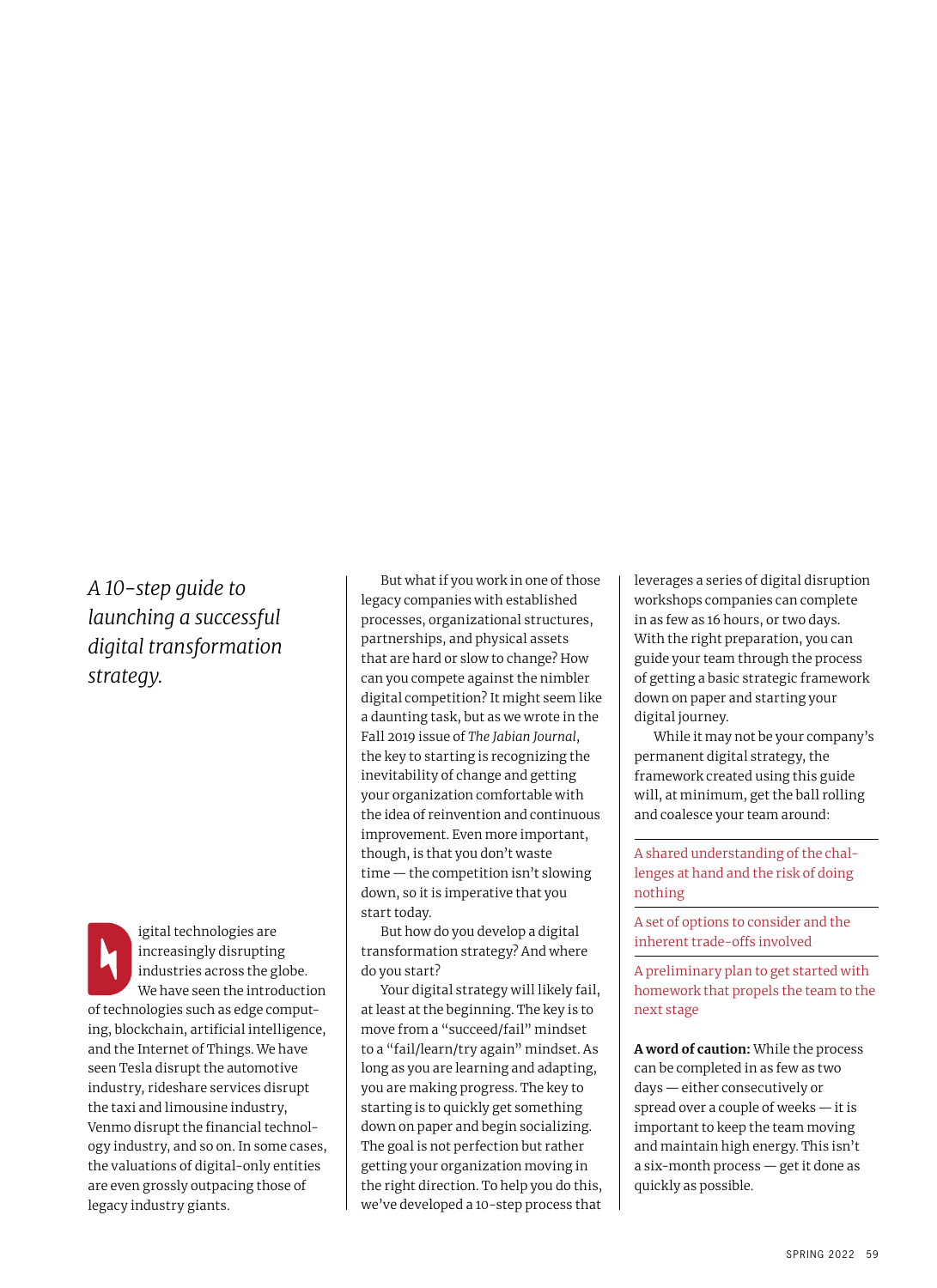# *A 10-step guide to launching a successful digital transformation strategy.*

igital technologies are increasingly disrupting industries across the globe. We have seen the introduction of technologies such as edge computing, blockchain, artificial intelligence, and the Internet of Things. We have seen Tesla disrupt the automotive industry, rideshare services disrupt the taxi and limousine industry, Venmo disrupt the financial technology industry, and so on. In some cases, the valuations of digital-only entities are even grossly outpacing those of legacy industry giants.

But what if you work in one of those legacy companies with established processes, organizational structures, partnerships, and physical assets that are hard or slow to change? How can you compete against the nimbler digital competition? It might seem like a daunting task, but as we wrote in the Fall 2019 issue of *The Jabian Journal*, the key to starting is recognizing the inevitability of change and getting your organization comfortable with the idea of reinvention and continuous improvement. Even more important, though, is that you don't waste time — the competition isn't slowing down, so it is imperative that you start today.

But how do you develop a digital transformation strategy? And where do you start?

Your digital strategy will likely fail, at least at the beginning. The key is to move from a "succeed/fail" mindset to a "fail/learn/try again" mindset. As long as you are learning and adapting, you are making progress. The key to starting is to quickly get something down on paper and begin socializing. The goal is not perfection but rather getting your organization moving in the right direction. To help you do this, we've developed a 10-step process that

leverages a series of digital disruption workshops companies can complete in as few as 16 hours, or two days. With the right preparation, you can guide your team through the process of getting a basic strategic framework down on paper and starting your digital journey.

While it may not be your company's permanent digital strategy, the framework created using this guide will, at minimum, get the ball rolling and coalesce your team around:

A shared understanding of the challenges at hand and the risk of doing nothing

A set of options to consider and the inherent trade-offs involved

A preliminary plan to get started with homework that propels the team to the next stage

**A word of caution:** While the process can be completed in as few as two days — either consecutively or spread over a couple of weeks — it is important to keep the team moving and maintain high energy. This isn't a six-month process — get it done as quickly as possible.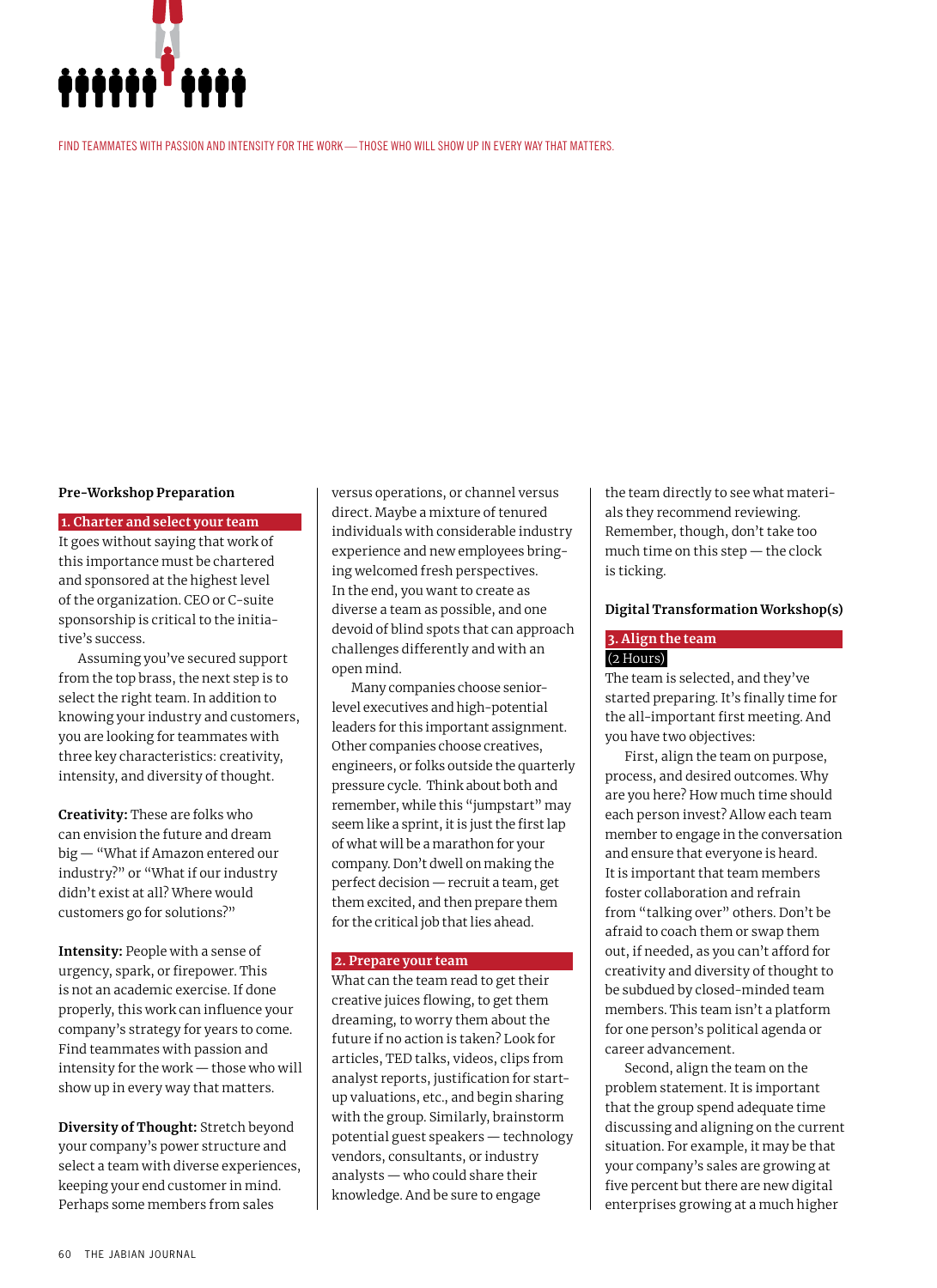

FIND TEAMMATES WITH PASSION AND INTENSITY FOR THE WORK—THOSE WHO WILL SHOW UP IN EVERY WAY THAT MATTERS.

#### **Pre-Workshop Preparation**

 **1. Charter and select your team**  It goes without saying that work of this importance must be chartered and sponsored at the highest level of the organization. CEO or C-suite sponsorship is critical to the initiative's success.

Assuming you've secured support from the top brass, the next step is to select the right team. In addition to knowing your industry and customers, you are looking for teammates with three key characteristics: creativity, intensity, and diversity of thought.

**Creativity:** These are folks who can envision the future and dream big — "What if Amazon entered our industry?" or "What if our industry didn't exist at all? Where would customers go for solutions?"

**Intensity:** People with a sense of urgency, spark, or firepower. This is not an academic exercise. If done properly, this work can influence your company's strategy for years to come. Find teammates with passion and intensity for the work — those who will show up in every way that matters.

**Diversity of Thought:** Stretch beyond your company's power structure and select a team with diverse experiences, keeping your end customer in mind. Perhaps some members from sales

versus operations, or channel versus direct. Maybe a mixture of tenured individuals with considerable industry experience and new employees bringing welcomed fresh perspectives. In the end, you want to create as diverse a team as possible, and one devoid of blind spots that can approach challenges differently and with an open mind.

Many companies choose seniorlevel executives and high-potential leaders for this important assignment. Other companies choose creatives, engineers, or folks outside the quarterly pressure cycle. Think about both and remember, while this "jumpstart" may seem like a sprint, it is just the first lap of what will be a marathon for your company. Don't dwell on making the perfect decision — recruit a team, get them excited, and then prepare them for the critical job that lies ahead.

#### **2. Prepare your team**

What can the team read to get their creative juices flowing, to get them dreaming, to worry them about the future if no action is taken? Look for articles, TED talks, videos, clips from analyst reports, justification for startup valuations, etc., and begin sharing with the group. Similarly, brainstorm potential guest speakers — technology vendors, consultants, or industry analysts — who could share their knowledge. And be sure to engage

the team directly to see what materials they recommend reviewing. Remember, though, don't take too much time on this step — the clock is ticking.

#### **Digital Transformation Workshop(s)**

#### **3. Align the team**  (2 Hours)

The team is selected, and they've started preparing. It's finally time for the all-important first meeting. And you have two objectives:

First, align the team on purpose, process, and desired outcomes. Why are you here? How much time should each person invest? Allow each team member to engage in the conversation and ensure that everyone is heard. It is important that team members foster collaboration and refrain from "talking over" others. Don't be afraid to coach them or swap them out, if needed, as you can't afford for creativity and diversity of thought to be subdued by closed-minded team members. This team isn't a platform for one person's political agenda or career advancement.

Second, align the team on the problem statement. It is important that the group spend adequate time discussing and aligning on the current situation. For example, it may be that your company's sales are growing at five percent but there are new digital enterprises growing at a much higher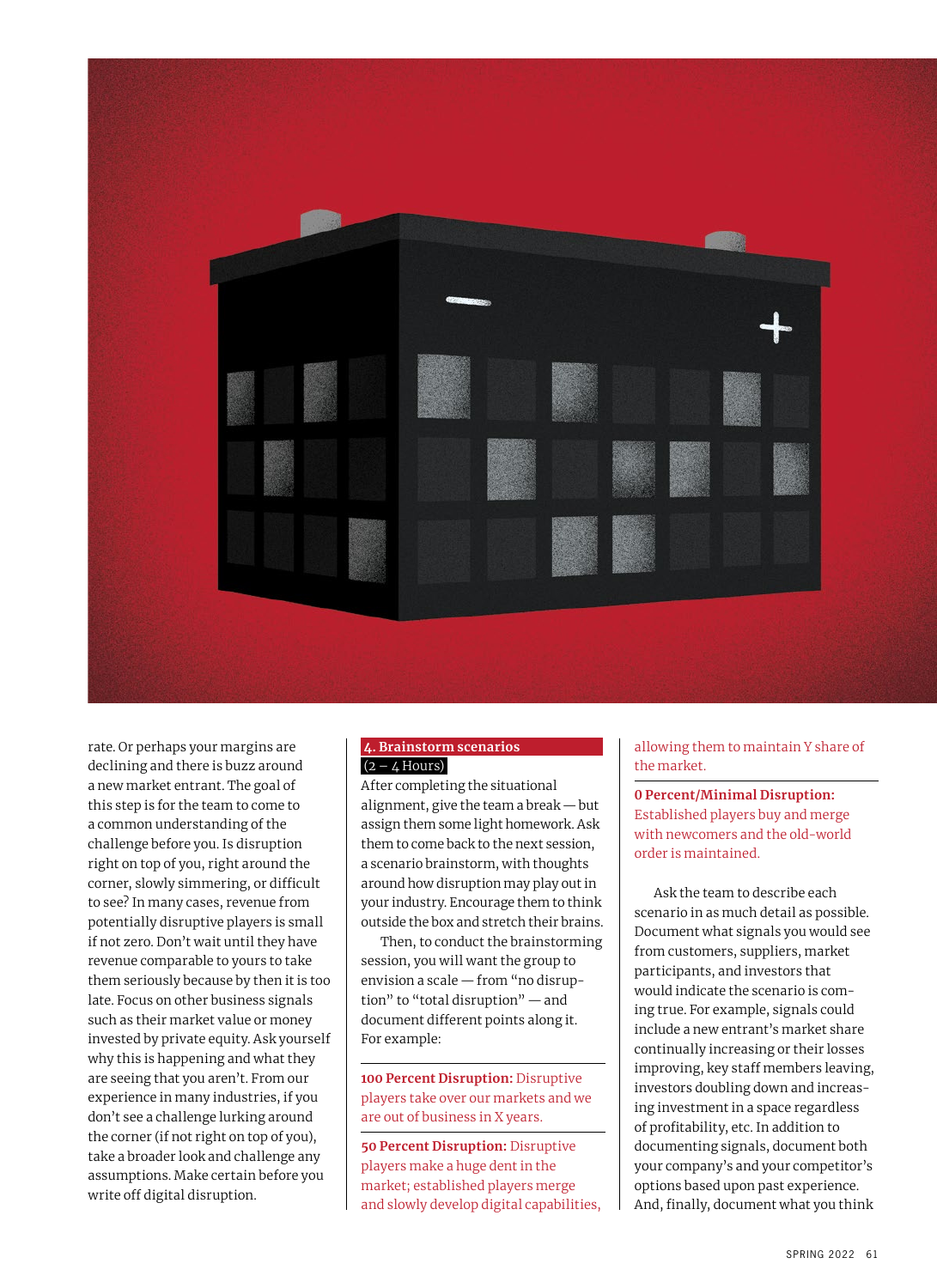

rate. Or perhaps your margins are declining and there is buzz around a new market entrant. The goal of this step is for the team to come to a common understanding of the challenge before you. Is disruption right on top of you, right around the corner, slowly simmering, or difficult to see? In many cases, revenue from potentially disruptive players is small if not zero. Don't wait until they have revenue comparable to yours to take them seriously because by then it is too late. Focus on other business signals such as their market value or money invested by private equity. Ask yourself why this is happening and what they are seeing that you aren't. From our experience in many industries, if you don't see a challenge lurking around the corner (if not right on top of you), take a broader look and challenge any assumptions. Make certain before you write off digital disruption.

# **4. Brainstorm scenarios**   $(2 - 4$  Hours)

After completing the situational alignment, give the team a break — but assign them some light homework. Ask them to come back to the next session, a scenario brainstorm, with thoughts around how disruption may play out in your industry. Encourage them to think outside the box and stretch their brains.

Then, to conduct the brainstorming session, you will want the group to envision a scale — from "no disruption" to "total disruption" — and document different points along it. For example:

**100 Percent Disruption:** Disruptive players take over our markets and we are out of business in X years.

**50 Percent Disruption:** Disruptive players make a huge dent in the market; established players merge and slowly develop digital capabilities, allowing them to maintain Y share of the market.

**0 Percent/Minimal Disruption:**  Established players buy and merge with newcomers and the old-world order is maintained.

Ask the team to describe each scenario in as much detail as possible. Document what signals you would see from customers, suppliers, market participants, and investors that would indicate the scenario is coming true. For example, signals could include a new entrant's market share continually increasing or their losses improving, key staff members leaving, investors doubling down and increasing investment in a space regardless of profitability, etc. In addition to documenting signals, document both your company's and your competitor's options based upon past experience. And, finally, document what you think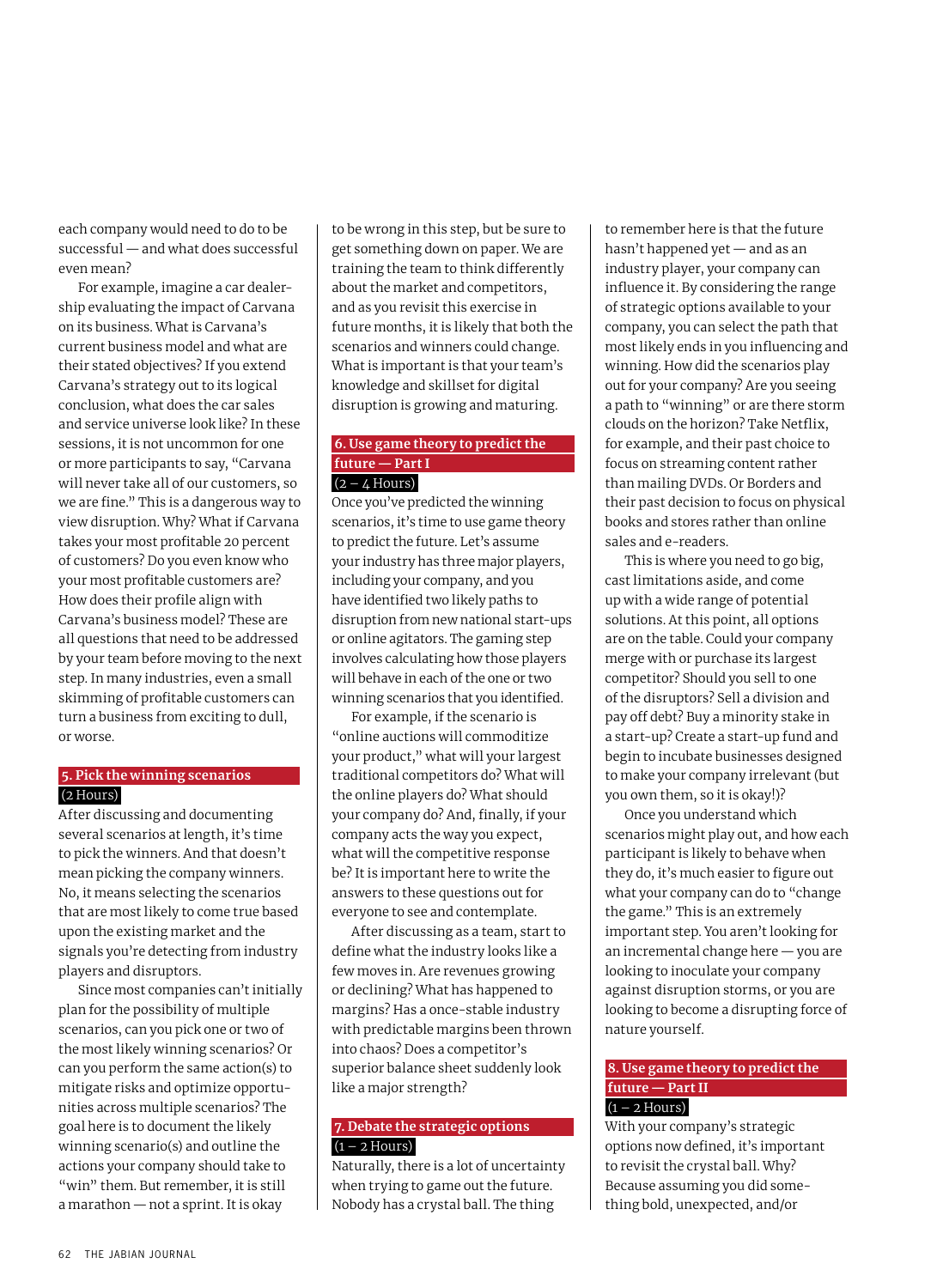each company would need to do to be successful — and what does successful even mean?

For example, imagine a car dealership evaluating the impact of Carvana on its business. What is Carvana's current business model and what are their stated objectives? If you extend Carvana's strategy out to its logical conclusion, what does the car sales and service universe look like? In these sessions, it is not uncommon for one or more participants to say, "Carvana will never take all of our customers, so we are fine." This is a dangerous way to view disruption. Why? What if Carvana takes your most profitable 20 percent of customers? Do you even know who your most profitable customers are? How does their profile align with Carvana's business model? These are all questions that need to be addressed by your team before moving to the next step. In many industries, even a small skimming of profitable customers can turn a business from exciting to dull, or worse.

# **5. Pick the winning scenarios**  (2 Hours)

After discussing and documenting several scenarios at length, it's time to pick the winners. And that doesn't mean picking the company winners. No, it means selecting the scenarios that are most likely to come true based upon the existing market and the signals you're detecting from industry players and disruptors.

Since most companies can't initially plan for the possibility of multiple scenarios, can you pick one or two of the most likely winning scenarios? Or can you perform the same action(s) to mitigate risks and optimize opportunities across multiple scenarios? The goal here is to document the likely winning scenario(s) and outline the actions your company should take to "win" them. But remember, it is still a marathon — not a sprint. It is okay

to be wrong in this step, but be sure to get something down on paper. We are training the team to think differently about the market and competitors, and as you revisit this exercise in future months, it is likely that both the scenarios and winners could change. What is important is that your team's knowledge and skillset for digital disruption is growing and maturing.

# **6. Use game theory to predict the future — Part I**   $(2 - 4$  Hours)

Once you've predicted the winning scenarios, it's time to use game theory to predict the future. Let's assume your industry has three major players, including your company, and you have identified two likely paths to disruption from new national start-ups or online agitators. The gaming step involves calculating how those players will behave in each of the one or two winning scenarios that you identified.

For example, if the scenario is "online auctions will commoditize your product," what will your largest traditional competitors do? What will the online players do? What should your company do? And, finally, if your company acts the way you expect, what will the competitive response be? It is important here to write the answers to these questions out for everyone to see and contemplate.

After discussing as a team, start to define what the industry looks like a few moves in. Are revenues growing or declining? What has happened to margins? Has a once-stable industry with predictable margins been thrown into chaos? Does a competitor's superior balance sheet suddenly look like a major strength?

# **7. Debate the strategic options**   $(1 - 2$  Hours)

Naturally, there is a lot of uncertainty when trying to game out the future. Nobody has a crystal ball. The thing

to remember here is that the future hasn't happened yet — and as an industry player, your company can influence it. By considering the range of strategic options available to your company, you can select the path that most likely ends in you influencing and winning. How did the scenarios play out for your company? Are you seeing a path to "winning" or are there storm clouds on the horizon? Take Netflix, for example, and their past choice to focus on streaming content rather than mailing DVDs. Or Borders and their past decision to focus on physical books and stores rather than online sales and e-readers.

This is where you need to go big, cast limitations aside, and come up with a wide range of potential solutions. At this point, all options are on the table. Could your company merge with or purchase its largest competitor? Should you sell to one of the disruptors? Sell a division and pay off debt? Buy a minority stake in a start-up? Create a start-up fund and begin to incubate businesses designed to make your company irrelevant (but you own them, so it is okay!)?

Once you understand which scenarios might play out, and how each participant is likely to behave when they do, it's much easier to figure out what your company can do to "change the game." This is an extremely important step. You aren't looking for an incremental change here — you are looking to inoculate your company against disruption storms, or you are looking to become a disrupting force of nature yourself.

# **8. Use game theory to predict the future — Part II**   $(1 - 2$  Hours)

With your company's strategic options now defined, it's important to revisit the crystal ball. Why? Because assuming you did something bold, unexpected, and/or